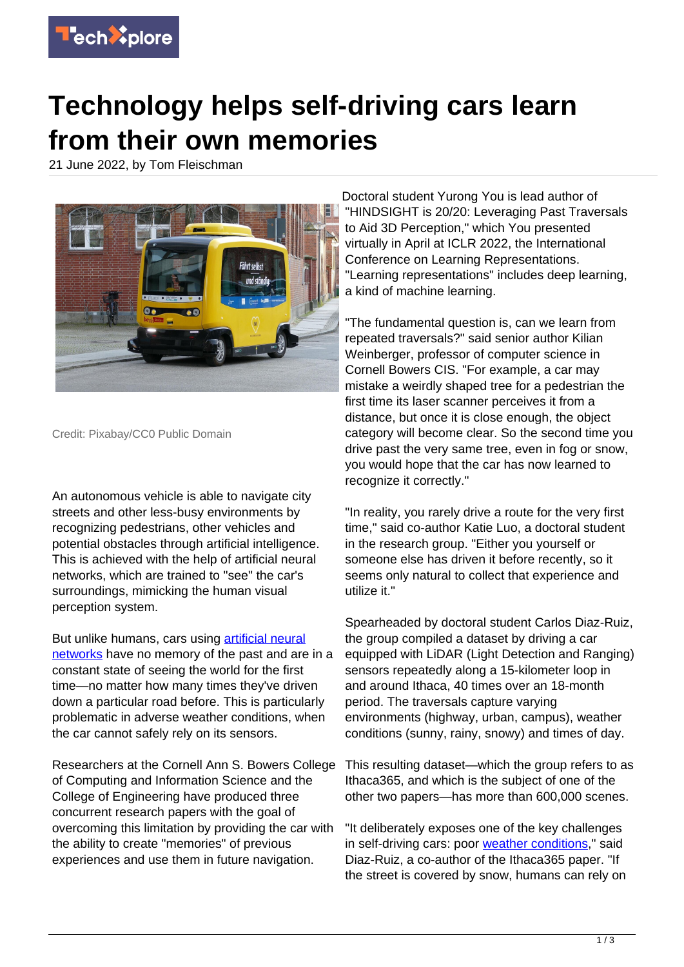

## **Technology helps self-driving cars learn from their own memories**

21 June 2022, by Tom Fleischman



Credit: Pixabay/CC0 Public Domain

An autonomous vehicle is able to navigate city streets and other less-busy environments by recognizing pedestrians, other vehicles and potential obstacles through artificial intelligence. This is achieved with the help of artificial neural networks, which are trained to "see" the car's surroundings, mimicking the human visual perception system.

But unlike humans, cars using **artificial neural** [networks](https://techxplore.com/tags/artificial+neural+networks/) have no memory of the past and are in a constant state of seeing the world for the first time—no matter how many times they've driven down a particular road before. This is particularly problematic in adverse weather conditions, when the car cannot safely rely on its sensors.

Researchers at the Cornell Ann S. Bowers College of Computing and Information Science and the College of Engineering have produced three concurrent research papers with the goal of overcoming this limitation by providing the car with the ability to create "memories" of previous experiences and use them in future navigation.

Doctoral student Yurong You is lead author of "HINDSIGHT is 20/20: Leveraging Past Traversals to Aid 3D Perception," which You presented virtually in April at ICLR 2022, the International Conference on Learning Representations. "Learning representations" includes deep learning, a kind of machine learning.

"The fundamental question is, can we learn from repeated traversals?" said senior author Kilian Weinberger, professor of computer science in Cornell Bowers CIS. "For example, a car may mistake a weirdly shaped tree for a pedestrian the first time its laser scanner perceives it from a distance, but once it is close enough, the object category will become clear. So the second time you drive past the very same tree, even in fog or snow, you would hope that the car has now learned to recognize it correctly."

"In reality, you rarely drive a route for the very first time," said co-author Katie Luo, a doctoral student in the research group. "Either you yourself or someone else has driven it before recently, so it seems only natural to collect that experience and utilize it."

Spearheaded by doctoral student Carlos Diaz-Ruiz, the group compiled a dataset by driving a car equipped with LiDAR (Light Detection and Ranging) sensors repeatedly along a 15-kilometer loop in and around Ithaca, 40 times over an 18-month period. The traversals capture varying environments (highway, urban, campus), weather conditions (sunny, rainy, snowy) and times of day.

This resulting dataset—which the group refers to as Ithaca365, and which is the subject of one of the other two papers—has more than 600,000 scenes.

"It deliberately exposes one of the key challenges in self-driving cars: poor [weather conditions,](https://techxplore.com/tags/weather+conditions/)" said Diaz-Ruiz, a co-author of the Ithaca365 paper. "If the street is covered by snow, humans can rely on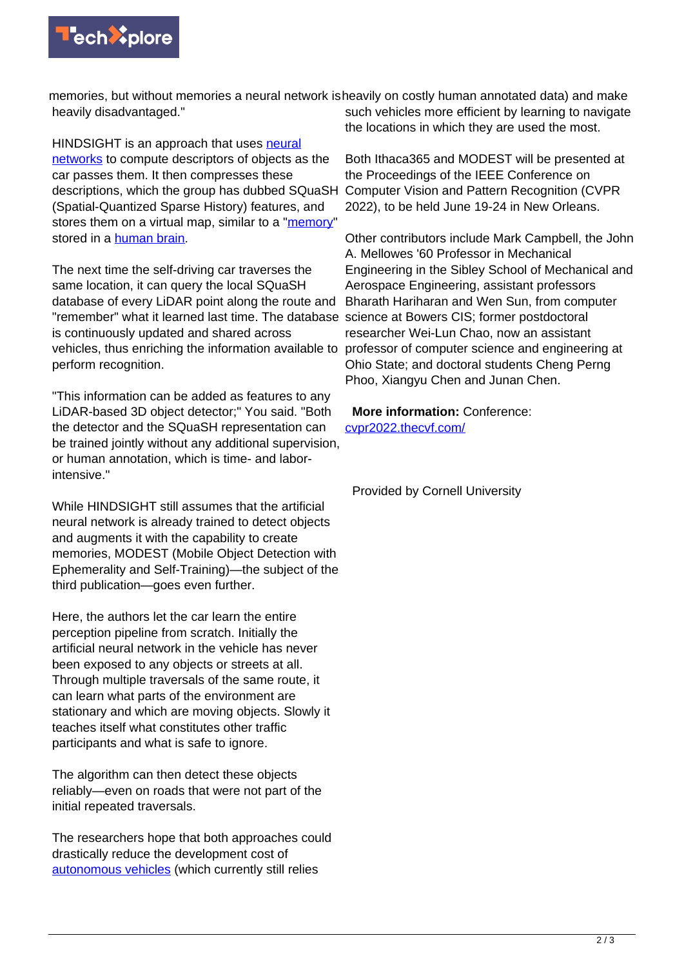

memories, but without memories a neural network is heavily on costly human annotated data) and make heavily disadvantaged."

HINDSIGHT is an approach that uses [neural](https://techxplore.com/tags/neural+networks/) [networks](https://techxplore.com/tags/neural+networks/) to compute descriptors of objects as the car passes them. It then compresses these descriptions, which the group has dubbed SQuaSH (Spatial-Quantized Sparse History) features, and stores them on a virtual map, similar to a ["memory](https://techxplore.com/tags/memory/)" stored in a [human brain.](https://techxplore.com/tags/human+brain/)

The next time the self-driving car traverses the same location, it can query the local SQuaSH database of every LiDAR point along the route and "remember" what it learned last time. The database science at Bowers CIS; former postdoctoral is continuously updated and shared across vehicles, thus enriching the information available to perform recognition.

"This information can be added as features to any LiDAR-based 3D object detector;" You said. "Both the detector and the SQuaSH representation can be trained jointly without any additional supervision, or human annotation, which is time- and laborintensive."

While HINDSIGHT still assumes that the artificial neural network is already trained to detect objects and augments it with the capability to create memories, MODEST (Mobile Object Detection with Ephemerality and Self-Training)—the subject of the third publication—goes even further.

Here, the authors let the car learn the entire perception pipeline from scratch. Initially the artificial neural network in the vehicle has never been exposed to any objects or streets at all. Through multiple traversals of the same route, it can learn what parts of the environment are stationary and which are moving objects. Slowly it teaches itself what constitutes other traffic participants and what is safe to ignore.

The algorithm can then detect these objects reliably—even on roads that were not part of the initial repeated traversals.

The researchers hope that both approaches could drastically reduce the development cost of [autonomous vehicles](https://techxplore.com/tags/autonomous+vehicles/) (which currently still relies

such vehicles more efficient by learning to navigate the locations in which they are used the most.

Both Ithaca365 and MODEST will be presented at the Proceedings of the IEEE Conference on Computer Vision and Pattern Recognition (CVPR 2022), to be held June 19-24 in New Orleans.

Other contributors include Mark Campbell, the John A. Mellowes '60 Professor in Mechanical Engineering in the Sibley School of Mechanical and Aerospace Engineering, assistant professors Bharath Hariharan and Wen Sun, from computer researcher Wei-Lun Chao, now an assistant professor of computer science and engineering at Ohio State; and doctoral students Cheng Perng Phoo, Xiangyu Chen and Junan Chen.

 **More information:** Conference: [cvpr2022.thecvf.com/](https://cvpr2022.thecvf.com/)

Provided by Cornell University